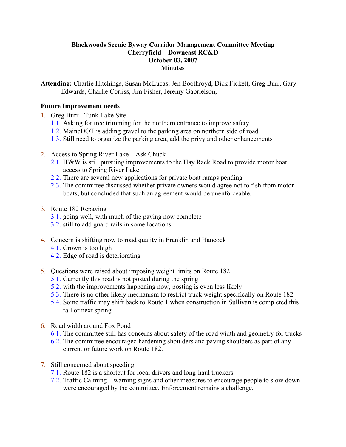## Blackwoods Scenic Byway Corridor Management Committee Meeting Cherryfield – Downeast RC&D October 03, 2007 **Minutes**

Attending: Charlie Hitchings, Susan McLucas, Jen Boothroyd, Dick Fickett, Greg Burr, Gary Edwards, Charlie Corliss, Jim Fisher, Jeremy Gabrielson,

## Future Improvement needs

- 1. Greg Burr Tunk Lake Site
	- 1.1. Asking for tree trimming for the northern entrance to improve safety
	- 1.2. MaineDOT is adding gravel to the parking area on northern side of road
	- 1.3. Still need to organize the parking area, add the privy and other enhancements
- 2. Access to Spring River Lake Ask Chuck
	- 2.1. IF&W is still pursuing improvements to the Hay Rack Road to provide motor boat access to Spring River Lake
	- 2.2. There are several new applications for private boat ramps pending
	- 2.3. The committee discussed whether private owners would agree not to fish from motor boats, but concluded that such an agreement would be unenforceable.
- 3. Route 182 Repaving
	- 3.1. going well, with much of the paving now complete
	- 3.2. still to add guard rails in some locations
- 4. Concern is shifting now to road quality in Franklin and Hancock
	- 4.1. Crown is too high
	- 4.2. Edge of road is deteriorating
- 5. Questions were raised about imposing weight limits on Route 182
	- 5.1. Currently this road is not posted during the spring
	- 5.2. with the improvements happening now, posting is even less likely
	- 5.3. There is no other likely mechanism to restrict truck weight specifically on Route 182
	- 5.4. Some traffic may shift back to Route 1 when construction in Sullivan is completed this fall or next spring
- 6. Road width around Fox Pond
	- 6.1. The committee still has concerns about safety of the road width and geometry for trucks
	- 6.2. The committee encouraged hardening shoulders and paving shoulders as part of any current or future work on Route 182.
- 7. Still concerned about speeding
	- 7.1. Route 182 is a shortcut for local drivers and long-haul truckers
	- 7.2. Traffic Calming warning signs and other measures to encourage people to slow down were encouraged by the committee. Enforcement remains a challenge.